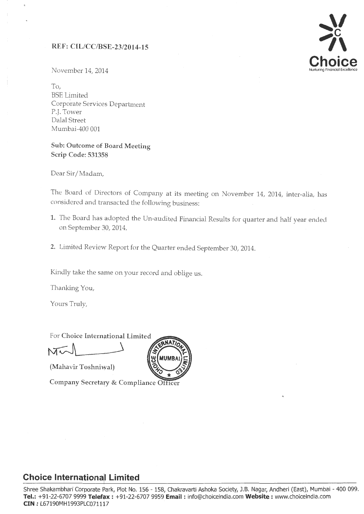### REF: C[L/CC/BSE-23/2014-15



November 14, 2014

To, BSE Limited Corporate Services Department P.J. Tower Dalal Street Mumbai-400 001

## Sub: Outcome of Board Meeting Scrip Code: 531358

Dear Sir/Madam,

The Board of Directors of Company at its meeting on November 14, 2014, inter-alia, has considered and transacted the following business:

- 1. The Board has adopted the Un-audited Financial Results for quarter and half year ended on September 30, 2014.
- 2. Limited Review Report for the Quarter ended September 30, 2014.

**MUMB** 

Kindly take the same on your record and oblige us.

Thanking You,

Yours Truly,

For Choice International Limited  $\widetilde{\text{M}\text{V}}$ 

(Mahavir Toshniwal)

Company Secretary & Compliance Officer

## **Choice lnternational Limited**

Shree Shakambhari Corporate Park, Plot No. 156 - 158, Chakravarti Ashoka Society, J.B. Nagar, Andheri (East), Mumbai - 400 099. **Tel.:** +91-22-6707 9999 **Telef'x :** +91-22-6707 9959 **Email :** info@choiceindia.com **Website :** www.choiceindia.com **CIN** : L67190MH1993PLC071117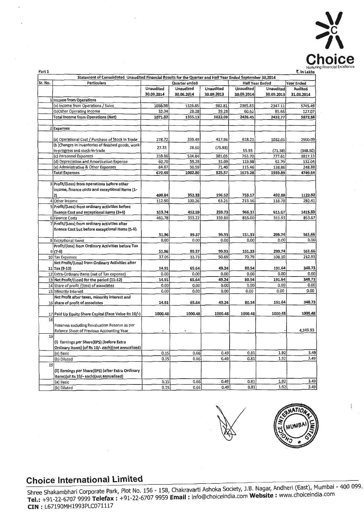

| Part 1                                                                                                      |                                                      |                  |                  |                  |                  |                        | ₹. In Lakhs      |  |
|-------------------------------------------------------------------------------------------------------------|------------------------------------------------------|------------------|------------------|------------------|------------------|------------------------|------------------|--|
| Statement of Consolidated Unaudited Financial Results for the Quarter and Half Year Ended September 30,2014 |                                                      |                  |                  |                  |                  |                        |                  |  |
| Sr. No.                                                                                                     | Particulars                                          |                  | Quarter ended    |                  |                  | <b>Half Year Ended</b> | Year Ended       |  |
|                                                                                                             |                                                      | <b>Unaudited</b> | <b>Unaudited</b> | <b>Unaudited</b> | <b>Unaudited</b> | <b>Unaudited</b>       | <b>Audited</b>   |  |
|                                                                                                             |                                                      | 30.09.2014       | 30.06.2014       | 30.09.2013       | 30.09.2014       | 30.09.2013             | 31.03.2014       |  |
|                                                                                                             | 1 income from Operations                             |                  |                  |                  |                  |                        |                  |  |
|                                                                                                             | (a) Income from Operations / Sales                   | 1038.98          | 1326.85          | 982.81           | 2365.83          | 2347.11                | 5745.49          |  |
|                                                                                                             | (b) Other Operating Income                           | 32.34            | 28.28            | 39.28            | 60.62            | 85.66                  | 127,07           |  |
|                                                                                                             | <b>Total Income from Operations (Net)</b>            | 1071.32          | 1355.13          | 1022.09          | 2426.45          | 2432.77                | 5872.56          |  |
|                                                                                                             | 2 Expenses                                           |                  |                  |                  |                  |                        |                  |  |
|                                                                                                             |                                                      |                  |                  |                  |                  |                        |                  |  |
|                                                                                                             | (a) Operational Cost / Purchase of Stock in Trade    | 278.72           | 339.49           | 417.96           | 618.21           | 1032.01                | 2900.09          |  |
|                                                                                                             | (b) Changes in inventories of finished goods, work-  |                  |                  |                  |                  |                        |                  |  |
|                                                                                                             | in-progress and stock-in-trade                       | 27.33            | 28.60            | (75.93)          | 55.93            | (71.38)                | (348.50)         |  |
|                                                                                                             | (c) Personnel Expenses                               | 238.86           | 524.84           | 381.05           | 763.70           | 777.61                 | 1817.13          |  |
|                                                                                                             | (d) Depreciation and Amortisation Expense            | 60.70            | 59.28            | 31.09            | 119.98           | 62.79                  | 132.04           |  |
|                                                                                                             | (e) Administrative & Other Expenses                  | 64.87            | 50.59            | 71.40            | 115.46           | 138.86                 | 248.88           |  |
|                                                                                                             | <b>Total Expenses</b>                                | 670.48           | 1002.80          | 825.57           | 1673.28          | 1939.89                | 4749.64          |  |
|                                                                                                             |                                                      |                  |                  |                  |                  |                        |                  |  |
|                                                                                                             | 3 Profit/(Loss) from operations before other         |                  |                  |                  |                  |                        |                  |  |
|                                                                                                             | income, finance costs and exceptional Items (1-      |                  |                  |                  |                  |                        |                  |  |
|                                                                                                             | 2)                                                   | 400.84           | 352.33           | 196.52           | 753.17           | 492.88                 | 1122.92          |  |
|                                                                                                             | 4 Other Income                                       | 112.90           | 100.26           | 63.21            | 213.16           | 118.79                 | 292.41           |  |
|                                                                                                             | 5 Profit/(Loss) from ordinary activities before      |                  |                  |                  |                  |                        |                  |  |
|                                                                                                             | finance Cost and exceptional items (3+4)             | 513.74           | 452.59           | 259.73           | 966.33           | 611.67                 | 1415.33          |  |
|                                                                                                             | 6 Finance Costs                                      | 461.78           | 353.22           | 159.80           | 815.00           | 311.93                 | 853.67           |  |
|                                                                                                             | 7 Profit/(Loss) from ordinary activities after       |                  |                  |                  |                  |                        |                  |  |
|                                                                                                             | finance Cost but before exceptional Items (5-6)      |                  |                  |                  |                  |                        |                  |  |
|                                                                                                             |                                                      | 51.96            | 99.37            | 99.93            | 151.33           | 299.74                 | 561.66           |  |
|                                                                                                             | 8 Exceptional Items                                  | 0.00             | 0.00             | 0.00             | 0.00             | 0.00                   | 0.00             |  |
|                                                                                                             | Profit/(loss) from Ordinary Activities before Tax    |                  |                  |                  |                  |                        |                  |  |
|                                                                                                             | $9(7-8)$                                             | 51.96            | 99.37            | 99.93            | 151.33           | 299.74                 | 561.66<br>212.93 |  |
|                                                                                                             | 10 Tax Expenses                                      | 37.05            | 33.73            | 50.69            | 70.79            | 108.10                 |                  |  |
|                                                                                                             | Net Profit/(Loss) from Ordinary Activities after     |                  |                  | 49.24            | 80.54            | 191.64                 | 348.73           |  |
|                                                                                                             | $11$ Tax (9-10)                                      | 14.91<br>0.00    | 65.64<br>0.00    | 0.00             | 0.00             | 0.00                   | 0.00             |  |
|                                                                                                             | 12 Extra-Ordinary Items (net of Tax expense)         | 14.91            | 65.64            | 49.24            | 80.54            | 191.64                 | 348.73           |  |
|                                                                                                             | 13 Net Profit/(Loss) for the period (11-12)          |                  | 0.00             | 0.00             | 0.00             | 0.00                   | 0.00             |  |
|                                                                                                             | 14 Share of profit /(loss) of associates             | 0.00<br>0.00     | 0.00             | 0.00             | 0.00             | 0.00                   | 0.00             |  |
|                                                                                                             | 15 Minority Interest                                 |                  |                  |                  |                  |                        |                  |  |
|                                                                                                             | Net Profit after taxes, minority interest and        | 14.91            | 65.64            | 49.24            | 80.54            | 191.64                 | 348.73           |  |
|                                                                                                             | 16 share of profit of associates                     |                  |                  |                  |                  |                        |                  |  |
|                                                                                                             | 17 Paid Up Equity Share Capital (Face Value Rs 10/-) | 1000.48          | 1000.48          | 1000.48          | 1000.48          | 1000.48                | 1000.48          |  |
| 18                                                                                                          |                                                      |                  |                  |                  |                  |                        |                  |  |
|                                                                                                             | Reserves excluding Revaluation Reserve as per        |                  |                  |                  |                  |                        |                  |  |
|                                                                                                             | Balance Sheet of Previous Accounting Year            |                  |                  |                  |                  |                        | 4,349.93         |  |
| 19                                                                                                          |                                                      |                  |                  |                  |                  |                        |                  |  |
|                                                                                                             | (i) Earnings per Share(EPS) (before Extra            |                  |                  |                  |                  |                        |                  |  |
|                                                                                                             | Ordinary items) (of Rs 10/- each) (not annualised)   |                  |                  |                  |                  |                        |                  |  |
|                                                                                                             | (a) Basic                                            | 0.15             | 0.66             | 0.49             | 0.81             | 1.92                   | 3.49             |  |
|                                                                                                             | (b) Diluted                                          | 0.15             | 0.66             | 0.49             | 0.81             | 1.92                   | 3.49             |  |
| 19                                                                                                          |                                                      |                  |                  |                  |                  |                        |                  |  |
|                                                                                                             | (ii) Earnings per Share(EPS) (after Extra Ordinary   |                  |                  |                  |                  |                        |                  |  |
|                                                                                                             | items)(of Rs 10/- each)(not annualised)              |                  |                  |                  |                  |                        |                  |  |
|                                                                                                             | (a) Basic                                            | 0.15             | 0.66             | 0.49             | 0.81             | 1.92                   | 3.49             |  |
|                                                                                                             | (b) Diluted                                          | 0.15             | 0.66             | 0.49             | 0.81             | 1.92                   | 3.49             |  |





# **Choice International Limited**

 $\overline{a}$ 

Shree Shakambhari Corporate Park, Plot No. 156 - 158, Chakravarti Ashoka Society, J.B. Nagar, Andheri (East), Mumbai - 400 099. **Tel.: +91-22-6707 9999 Telefax: +91-22-6707 9959 <b>Email:** info@choiceindia.com **Website:** www.choicemdia.com **CIN** : L67190MH1993PLC071117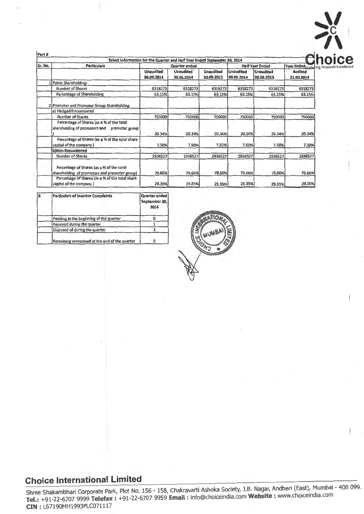| Part II                                                                                    | Select Information for the Quarter and Half Year Ended September 30, 2014 |                                |                                |                                |                                           |                              |
|--------------------------------------------------------------------------------------------|---------------------------------------------------------------------------|--------------------------------|--------------------------------|--------------------------------|-------------------------------------------|------------------------------|
| <b>Particulars</b><br>Sr. No.                                                              |                                                                           | <b>Quarter ended</b>           |                                | <b>Half Year Ended</b>         | Year Ended Nurturing Financial Excellence |                              |
|                                                                                            | <b>Unaudited</b><br>30.09.2014                                            | <b>Unaudited</b><br>30.06.2014 | <b>Unaudited</b><br>30.09.2013 | <b>Unaudited</b><br>30.09.2014 | <b>Unaudited</b><br>30.09.2013            | <b>Audited</b><br>31.03.2014 |
| Public Shareholding:                                                                       |                                                                           |                                |                                |                                |                                           |                              |
| <b>Number of Shares</b>                                                                    | 6318273                                                                   | 6318273                        | 6318273                        | 6318273                        | 6318273                                   | 6318273                      |
| Percentage of Shareholding                                                                 | 63.15%                                                                    | 63.15%                         | 63.15%                         | 63.15%                         | 63.15%                                    | 63.15%                       |
| 2 Promoter and Promoter Group Shareholding                                                 |                                                                           |                                |                                |                                |                                           |                              |
| a) Pledged/Encumbered                                                                      |                                                                           |                                |                                |                                |                                           |                              |
| Number of Shares                                                                           | 750000                                                                    | 750000                         | 750000                         | 750000                         | 750000                                    | 750000                       |
| Percentage of Shares (as a % of the total<br>shareholding of promoters and promoter group  | 20.34%                                                                    | 20.34%                         | 20.34%                         | 20.34%                         | 20.34%                                    | 20.34%                       |
| Percentage of Shares (as a % of the total share<br>capital of the company)                 | 7.50%                                                                     | 7.50%                          | 7.50%                          | 7.50%                          | 7.50%                                     | 7.50%                        |
| b)Non-Encumbered                                                                           |                                                                           |                                |                                |                                |                                           |                              |
| Number of Shares                                                                           | 2936527                                                                   | 2936527                        | 2936527                        | 2936527                        | 2936527                                   | 2936527                      |
| Percentage of Shares (as a % of the total<br>shareholding of promoters and promoter group) | 79.66%                                                                    | 79.66%                         | 79.66%                         | 79.66%                         | 79.66%                                    | 79.66%                       |
| Percentage of Shares (as a % of the total share<br>capital of the company )                | 29.35%                                                                    | 29.35%                         | 29.35%                         | 29.35%                         | 29.35%                                    | 29.35%                       |

| в | <b>Particulars of Investor Complaints</b>      | Quarter ended<br>September 30,<br>2014 |
|---|------------------------------------------------|----------------------------------------|
|   | Pending at the beginning of the quarter        |                                        |
|   | Received during the quarter                    |                                        |
|   | Disposed of during the quarter                 |                                        |
|   | Remaining unresolved at the end of the quarter |                                        |



 $\sum_{i=1}^N$  $\geq$ 

# **Choice International Limited**

Shree Shakambhari Corporate Park, Plot No. 156 - 158, Chakravarti Ashoka Society, J.B. Nagar, Andheri (East), Mumbai - 400 099. **Tel.:** +91-22-6707 9999 **Telef** : +91-22-6707 9959 **Email** : info@choiceindia.com **Website** : www.choiceindia.com **CIN:** L67190MH1993PLC071117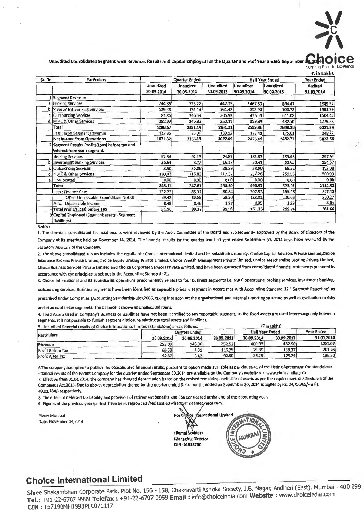

Unaudited Consolidated Segment wise Revenue, Results and Capital Employed for the Quarter and Half Year Ended Septemb

| Sr. No | <b>Particulars</b>                                                           |                                | <b>Quarter Ended</b>           |                                | <b>Half Year Ended</b>         | <b>Year Ended</b>              |                              |
|--------|------------------------------------------------------------------------------|--------------------------------|--------------------------------|--------------------------------|--------------------------------|--------------------------------|------------------------------|
|        |                                                                              | <b>Unaudited</b><br>30.09.2014 | <b>Unaudited</b><br>30.06.2014 | <b>Unaudited</b><br>30.09.2013 | <b>Unaudited</b><br>30.09.2014 | <b>Unaudited</b><br>30.09.2013 | <b>Audited</b><br>31.03.2014 |
|        | LSegment Revenue                                                             |                                |                                |                                |                                |                                |                              |
|        | a. Broking Services                                                          | 744.35                         | 723.22                         | 442.15                         | 1467.57                        | 864.47                         | 1985.52                      |
|        | b. Investment Banking Services                                               | 129.48                         | 174.43                         | 161.42                         | 303.91                         | 700.73                         | 1351.79                      |
|        | c. Outsourcing Services                                                      | 81.85                          | 346.69                         | 305.53                         | 428.54                         | 611.08                         | 1504.42                      |
|        | d. NBFC & Other Services                                                     | 252.99                         | 146.85                         | 252.11                         | 399.84                         | 432.10                         | 1279.55                      |
|        | <b>Total</b>                                                                 | 1208.67                        | 1391.19                        | 1161.21                        | 2599.86                        | 2608.38                        | 6121.28                      |
|        | Less : Inter Segment Revenue                                                 | 137.35                         | 36.06                          | 139.12                         | 173.41                         | 175.61                         | 248.72                       |
|        | <b>Net Income from Operations</b>                                            | 1071.32                        | 1355.13                        | 1022.09                        | 2426.45                        | 2432.77                        | 5872.56                      |
|        | 2 Segment Results Profit/(Loss) before tax and<br>interest from each segment |                                |                                |                                |                                |                                |                              |
|        | a. Broking Services                                                          | 92.54                          | 92.13                          | 74.87                          | 184.67                         | 153.96                         | 297.94                       |
|        | b. Investment Banking Services                                               | 26.64                          | 3.77                           | 18.17                          | 30.41                          | 91.65                          | 154.57                       |
| C.     | <b>Outsourcing Services</b>                                                  | 3.50                           | 35.08                          | 28.39                          | 38.58                          | 68.32                          | 152.08                       |
|        | d. NBFC & Other Services                                                     | 120.43                         | 116.83                         | 117.37                         | 237.26                         | 259.53                         | 509.93                       |
|        | e. Unallocated                                                               | 0.00                           | 0.00                           | 0.00                           | 0.00                           | 0.00                           | 0.00                         |
|        | Total                                                                        | 243.11                         | 247.81                         | 238.80                         | 490.92                         | 573.46                         | 1114.52                      |
|        | Less : Finance Cost                                                          | 122.22                         | 85.31                          | 80.84                          | 207.53                         | 155.48                         | 327.40                       |
|        | Other Unallocable Expenditure Net Off                                        | 69.42                          | 63.59                          | 59.30                          | 133.01                         | 120.63                         | 230.27                       |
|        | Add: Unallocable Income                                                      | 0.49                           | 0.46                           | 1.27                           | 0.95                           | 2.39                           | 4.81                         |
|        | <b>Total Profit/(Loss) before Tax</b>                                        | 51.96                          | 99.37                          | 99.93                          | 151.33                         | 299.74                         | 561.66                       |

Notes:

1. The aforesaid consolidated financial results were reviewed by the Audit Committee of the Board and subsequently approved by the Board of Directors of the Company at its meeting held on November 14, 2014. The financial results for the quarter and half year ended September 30, 2014 have been reviewed by the Statutory Auditors of the Company.

2. The above consolidated results includes the results of : Choice International Limited and its subsidiaries namely: Choice Capital Advisors Private Limited,Choice Insurance Brokers Private Limited,Choice Equity Braking Private Limited, Choice Wealth Management Private Limited, Choice Merchandise Braking Private Limited, Choice Business Services Private Limited and Choice Corporate Services Private Limited, and have been extracted from consolidated financial statements prepared in accordance with the principles as set out in the Accounting Standard -21.

3. Choice International and its subsidiaries operations predominantly relates to four business segments i.e. NBFC operations, braking services, investment banking.

outsourcing services. Business segments have been identified as seperable primary segment in accordance with Accounting Standard 17 " Segment Reporting" as

prescribed under Companies (Accounting Standards)Rules,2006, taking into account the organisational and internal reporting structure as well as evaluation of risks I

and returns of these segments. The balance is shown as unallocated items.

4. Fixed Assets used in Company's Business or Liabilities have not been identified to any reportable segment, as the fixed assets are used interchangeably between segments. It is not possible to furnish segment disclosure relating to total assets and liabilities.

| 5. Unaudited financial results of Choice International Limited (Standalone) are as follows: |            | <b>(₹ in Lakhs)</b>  |            |            |            |                   |  |
|---------------------------------------------------------------------------------------------|------------|----------------------|------------|------------|------------|-------------------|--|
|                                                                                             |            | <b>Quarter Ended</b> |            |            |            | <b>Year Ended</b> |  |
| Particulars                                                                                 | 30.09.2014 | 30.06.2014           | 30.09.2013 | 30.09.2014 | 30.09.2013 | 31.03.2014        |  |
| Revenue                                                                                     | 253.09     | 146.96               | 252.52     | 400.05     | 432.90     | 1281.07           |  |
| <b>Profit Before Tax</b>                                                                    | 66.58      | 4.31                 | 116.25     | 70.89      | 158.37     | 201.76            |  |
| <b>Profit After Tax</b>                                                                     | 52.87      | 3.42                 | 92.30      | 56.29      | 125.74     | 136.52            |  |

6. The company has opted to publish the consolidated financial results, pursuant to option made available as per clause 41 of the Listing Agreement. The standalone financial results of the Parent Company for the quarter ended September 30,2014 are available on the Company's website viz. www.choiceindia.com 7. Effective from 01.04,2014, the company has charged depreciation based on the revised remaining useful life of assets as per the requiremnet of Schedule II of the Companies Act,2013. Due to above, depreciation charge for the quarter ended & six months ended on Sepetmber 30, 2014 is higher by Rs. 24,75,969/- & Rs. 49,01,784/- respectively.

8. The effect of deferred tax liability and provision of retirement benefits shall be considered at the end of the accounting year.

.•

9. Figures of the previous year/period have been regrouped /reclassified where wer deemed necessary.

Place: Mumbai Date: November 14,2014

ternational Limited For C (Kamal Managing Director DIN- 01518700

# **Choice International Limited-**

Shree Shakambhari Corporate Park, Plot No. 156 - 158, Chakravarti Ashoka Society, J.B. Nagar, Andheri (East), Mumbai - 400 099. **Tel.:** +91-22-6707 9999 **Telefax:** +91-22-6707 9959 **Email:** info@choiceindia.com Website: www.choiceindia.com **CIN** : L67190MH1993PLC071117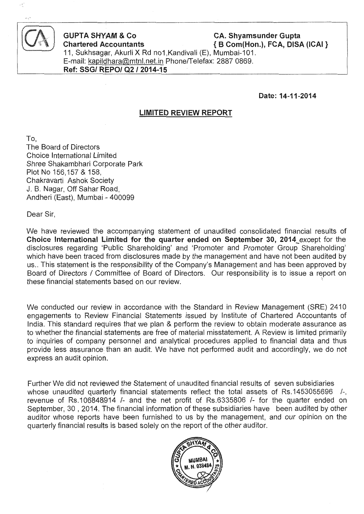

**GUPTA SHYAM & Co CA. Shyamsunder Gupta** Chartered Accountants  $\{B\text{ Com(Hon.)}\}$ . FCA, DISA (ICAI ) 11, Sukhsagar, Akurli X Rd no1, Kandivali (E), Mumbai-101. E-mail: kapildhara@mtnl.net.in Phone/Telefax: 2887 0869. **Ref: SSG/ REPO/ Q2 / 2014-15** 

**Date: 14-11-2014** 

## **LIMITED REVIEW REPORT**

To, The Board of Directors Choice International Limited Shree Shakambhari Corporate Park Plot No 156,157 & 158, Chakravarti Ashok Society J. B. Nagar, Off Sahar Road, Andheri (East), Mumbai - 400099

Dear Sir,

We have reviewed the accompanying statement of unaudited consolidated financial results of **Choice International 4imited for the quarter ended on September 30,** 2014\_except for the disclosures regarding 'Public Shareholding' and 'Promoter and Promoter Group Shareholding' which have been traced from disclosures made by the management and have not been audited by us.. This statement is the responsibility of the Company's Management and has been approved by Board of Directors I Committee of Board of Directors. Our responsibility is to issue a report on these financial statements based on our review. These financial statements of  $\mathbb{R}^2$ 

We conducted our review in accordance with the Standard in Review Management (SRE) 2410 engagements to Review Financial Statements issued by Institute of Chartered Accountants of India. This standard requires that we plan & perform the review to obtain moderate assurance as to whether the financial statements are free of material misstatement. A Review is limited primarily to inquiries of company personnel and analytical procedures applied to financial data and thus provide less assurance than an audit. We have not performed audit and accordingly, we do not express an audit opinion.

Further We did not reviewed the Statement of unaudited financial results of seven subsidiaries whose unaudited quarterly financial statements reflect the total assets of Rs.1453055696 /-, revenue of Rs.106848914 /- and the net profit of Rs.6335806 /- for the quarter ended on September, 30 , 2014. The financial information of these subsidiaries have been audited by other auditor whose reports have been furnished to us by the management, and our opinion on the quarterly financial results is based solely on the report of the other auditor.

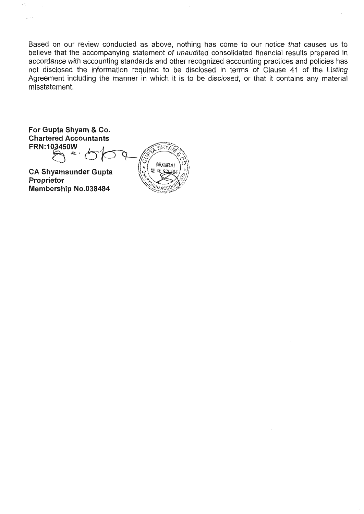Based on our review conducted as above, nothing has come to our notice that causes us to believe that the accompanying statement of unaudited consolidated financial results prepared in accordance with accounting standards and other recognized accounting practices and policies has not disclosed the information required to be disclosed in terms of Clause 41 of the Listing Agreement including the manner in which it is to be disclosed, or that it contains any material misstatement.

**For Gupta Shyam & C0. Chartered Accountants For Gupta Shyam & Co.**<br>Chartered Accountants<br>FRN:103450W<br>
<del>Example of</del> the Contract of the Contract of the Contract of the Contract of the Contract of the Contract of the Contract of the Contract of the Contract of the Co

 $\mathcal{L}$  . OR  $\mathcal{L}$  is  $\mathcal{L}$ 

**CA Shyamsunder Gupta Proprietor Membership No.038484** 

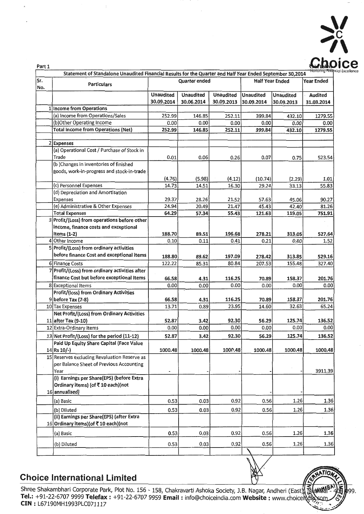

·-.

9.

| Quarter ended<br><b>Half Year Ended</b><br>Sr.<br><b>Particulars</b><br>No.<br><b>Unaudited</b><br><b>Unaudited</b><br><b>Unaudited</b><br><b>Unaudited</b><br><b>Unaudited</b><br>30.09.2014<br>30.06.2014<br>30.09.2013<br>30.09.2014<br>30.09.2013<br>1 Income from Operations<br>(a) Income from Operations/Sales<br>252.11<br>252.99<br>146.85<br>399.84<br>432.10<br>(b)Other Operating Income<br>0.00<br>0.00<br>0.00<br>0.00<br>0.00<br><b>Total Income from Operations (Net)</b><br>252.11<br>252.99<br>146.85<br>399.84<br>432.10<br>2 Expenses | Year Ended<br><b>Audited</b><br>31.03.2014 |
|-----------------------------------------------------------------------------------------------------------------------------------------------------------------------------------------------------------------------------------------------------------------------------------------------------------------------------------------------------------------------------------------------------------------------------------------------------------------------------------------------------------------------------------------------------------|--------------------------------------------|
|                                                                                                                                                                                                                                                                                                                                                                                                                                                                                                                                                           |                                            |
|                                                                                                                                                                                                                                                                                                                                                                                                                                                                                                                                                           |                                            |
|                                                                                                                                                                                                                                                                                                                                                                                                                                                                                                                                                           |                                            |
|                                                                                                                                                                                                                                                                                                                                                                                                                                                                                                                                                           |                                            |
|                                                                                                                                                                                                                                                                                                                                                                                                                                                                                                                                                           | 1279.55                                    |
|                                                                                                                                                                                                                                                                                                                                                                                                                                                                                                                                                           | 0.00                                       |
|                                                                                                                                                                                                                                                                                                                                                                                                                                                                                                                                                           | 1279.55                                    |
|                                                                                                                                                                                                                                                                                                                                                                                                                                                                                                                                                           |                                            |
|                                                                                                                                                                                                                                                                                                                                                                                                                                                                                                                                                           |                                            |
| (a) Operational Cost / Purchase of Stock in                                                                                                                                                                                                                                                                                                                                                                                                                                                                                                               |                                            |
| Trade<br>0.06<br>0.01<br>0.26<br>0.07<br>0.75                                                                                                                                                                                                                                                                                                                                                                                                                                                                                                             | 523.54                                     |
| (b) Changes in inventories of finished                                                                                                                                                                                                                                                                                                                                                                                                                                                                                                                    |                                            |
| goods, work-in-progress and stock-in-trade                                                                                                                                                                                                                                                                                                                                                                                                                                                                                                                |                                            |
| (4.76)<br>(5.98)<br>(4.12)<br>(10.74)<br>(2.29)                                                                                                                                                                                                                                                                                                                                                                                                                                                                                                           | 1.01                                       |
| (c) Personnel Expenses<br>14.73<br>14.51<br>16.30<br>29.24<br>33.13                                                                                                                                                                                                                                                                                                                                                                                                                                                                                       | 55.83                                      |
| (d) Depreciation and Amortisation                                                                                                                                                                                                                                                                                                                                                                                                                                                                                                                         |                                            |
| 21.52<br>57.63<br>28.26<br>45.06<br>Expenses<br>29.37                                                                                                                                                                                                                                                                                                                                                                                                                                                                                                     | 90.27                                      |
| (e) Administrative & Other Expenses<br>24.94<br>20.49<br>21.47<br>45.43<br>42.40                                                                                                                                                                                                                                                                                                                                                                                                                                                                          | 81.26                                      |
| 121.63<br>64.29<br>57.34<br>55.43<br>119.05<br><b>Total Expenses</b>                                                                                                                                                                                                                                                                                                                                                                                                                                                                                      | 751.91                                     |
| 3 Profit/(Loss) from operations before other                                                                                                                                                                                                                                                                                                                                                                                                                                                                                                              |                                            |
| income, finance costs and exceptional                                                                                                                                                                                                                                                                                                                                                                                                                                                                                                                     |                                            |
| 89.51<br>196.68<br>278.21<br>313.05<br>Items $(1-2)$<br>188.70                                                                                                                                                                                                                                                                                                                                                                                                                                                                                            | 527.64                                     |
| Other Income<br>0.21<br>0.80<br>0.11<br>0.41<br>0.10<br>4                                                                                                                                                                                                                                                                                                                                                                                                                                                                                                 | 1.52                                       |
| 5 Profit/(Loss) from ordinary activities                                                                                                                                                                                                                                                                                                                                                                                                                                                                                                                  |                                            |
| before finance Cost and exceptional items<br>89.62<br>197.09<br>278.42<br>313.85<br>188.80                                                                                                                                                                                                                                                                                                                                                                                                                                                                | 529.16                                     |
| 85.31<br>155.48<br>6 Finance Costs<br>122.22<br>80.84<br>207.53                                                                                                                                                                                                                                                                                                                                                                                                                                                                                           | 327.40                                     |
| Profit/(Loss) from ordinary activities after                                                                                                                                                                                                                                                                                                                                                                                                                                                                                                              |                                            |
| finance Cost but before exceptional Items<br>116.25<br>70.89<br>158.37<br>66.58<br>4.31                                                                                                                                                                                                                                                                                                                                                                                                                                                                   | 201.76                                     |
| 0.00<br>0.00<br>0.00<br>0.00<br>0.00<br>8 Exceptional Items                                                                                                                                                                                                                                                                                                                                                                                                                                                                                               | 0.00                                       |
| Profit/(loss) from Ordinary Activities                                                                                                                                                                                                                                                                                                                                                                                                                                                                                                                    |                                            |
| 9 before Tax (7-8)<br>116.25<br>70.89<br>158.37<br>66.58<br>4.31                                                                                                                                                                                                                                                                                                                                                                                                                                                                                          | 201.76                                     |
| 23.95<br>14.60<br>32.63<br>13.71<br>0.89<br>10 Tax Expenses                                                                                                                                                                                                                                                                                                                                                                                                                                                                                               | 65.24                                      |
| Net Profit/(Loss) from Ordinary Activities                                                                                                                                                                                                                                                                                                                                                                                                                                                                                                                |                                            |
| 56.29<br>125.74<br>11 after Tax (9-10)<br>52.87<br>3.42<br>92.30                                                                                                                                                                                                                                                                                                                                                                                                                                                                                          | 136.52                                     |
| 0.00<br>0.00<br>0.00<br>12 Extra-Ordinary Items<br>0.00<br>0.00                                                                                                                                                                                                                                                                                                                                                                                                                                                                                           | 0.00                                       |
| 125.74<br>3.42<br>92.30<br>56.29<br>13 Net Profit/(Loss) for the period (11-12)<br>52.87                                                                                                                                                                                                                                                                                                                                                                                                                                                                  | 136.52                                     |
| Paid Up Equity Share Capital (Face Value                                                                                                                                                                                                                                                                                                                                                                                                                                                                                                                  |                                            |
| 1000.48<br>1000.48<br>1000.48<br>1000.48<br>1000.48<br>$14$ Rs $10/-$                                                                                                                                                                                                                                                                                                                                                                                                                                                                                     | 1000.48                                    |
| 15 Reserves excluding Revaluation Reserve as                                                                                                                                                                                                                                                                                                                                                                                                                                                                                                              |                                            |
| per Balance Sheet of Previous Accounting                                                                                                                                                                                                                                                                                                                                                                                                                                                                                                                  |                                            |
| Year                                                                                                                                                                                                                                                                                                                                                                                                                                                                                                                                                      | 3911.39                                    |
| (i) Earnings per Share(EPS) (before Extra                                                                                                                                                                                                                                                                                                                                                                                                                                                                                                                 |                                            |
| Ordinary items) (of ₹10 each)(not                                                                                                                                                                                                                                                                                                                                                                                                                                                                                                                         |                                            |
| 16 annualised)                                                                                                                                                                                                                                                                                                                                                                                                                                                                                                                                            |                                            |
| 0.92<br>0.56<br>1.26<br>0.53<br>0.03<br>(a) Basic                                                                                                                                                                                                                                                                                                                                                                                                                                                                                                         | 1.36                                       |
| 0.03<br>0.92<br>0.56<br>1.26<br>0.53<br>(b) Diluted                                                                                                                                                                                                                                                                                                                                                                                                                                                                                                       | 1.36                                       |
| (ii) Earnings per Share(EPS) (after Extra                                                                                                                                                                                                                                                                                                                                                                                                                                                                                                                 |                                            |
| 16 Ordinary items) (of ₹10 each) (not                                                                                                                                                                                                                                                                                                                                                                                                                                                                                                                     |                                            |
| 0.03<br>0.92<br>0.56<br>1.26<br>0.53<br>(a) Basic                                                                                                                                                                                                                                                                                                                                                                                                                                                                                                         | 1.36                                       |
|                                                                                                                                                                                                                                                                                                                                                                                                                                                                                                                                                           |                                            |
| 0.92<br>0.56<br>1.26<br>0.53<br>0.03<br>(b) Diluted                                                                                                                                                                                                                                                                                                                                                                                                                                                                                                       | 1.36                                       |
|                                                                                                                                                                                                                                                                                                                                                                                                                                                                                                                                                           |                                            |

# **Choice International Limited**  and the set of the set of the set of the set of the set of the set of the set of the set of the set of the set of the set of the set of the set of the set of the set of the set of the set of

Choice International Limited<br>Shree Shakambhari Corporate Park, Plot No. 156 - 158, Chakravarti Ashoka Society, J.B. Nagar, Andheri (East),  $\overline{\mathbb{R}}$ (MM<sup>948</sup>) **Tel.:** +91-22-6707 9999 **Telefax :** +91-22-6707 9959 **Email :** info@choiceindia.com **Website :** www.choiceindia.com CIN: L67190MH1993PLC071117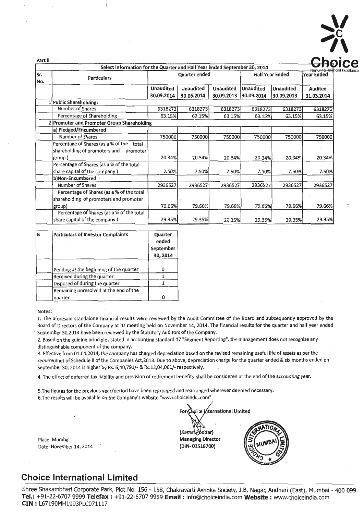

| Part II    |                                                                           |                  |                      |                  |                        |                   |                       |
|------------|---------------------------------------------------------------------------|------------------|----------------------|------------------|------------------------|-------------------|-----------------------|
|            | Select Information for the Quarter and Half Year Ended September 30, 2014 |                  |                      |                  |                        |                   | Nurturing Findncial E |
| Sr.<br>No. | <b>Particulars</b>                                                        |                  | <b>Quarter ended</b> |                  | <b>Half Year Ended</b> | <b>Year Ended</b> |                       |
|            |                                                                           | <b>Unaudited</b> | <b>Unaudited</b>     | <b>Unaudited</b> | <b>Unaudited</b>       | <b>Unaudited</b>  | <b>Audited</b>        |
|            |                                                                           | 30.09.2014       | 30.06.2014           | 30.09.2013       | 30.09.2014             | 30.09.2013        | 31.03.2014            |
|            | 1 Public Shareholding:                                                    |                  |                      |                  |                        |                   |                       |
|            | Number of Shares                                                          | 6318273          | 6318273              | 6318273          | 6318273                | 6318273           | 6318275               |
|            | Percentage of Shareholding                                                | 63.15%           | 63.15%               | 63.15%           | 63.15%                 | 63.15%            | 63.15%                |
|            | 2 Promoter and Promoter Group Shareholding                                |                  |                      |                  |                        |                   |                       |
|            | a) Pledged/Encumbered                                                     |                  |                      |                  |                        |                   |                       |
|            | Number of Shares                                                          | 750000           | 750000               | 750000           | 750000                 | 750000            | 750000                |
|            | Percentage of Shares (as a % of the<br>total                              |                  |                      |                  |                        |                   |                       |
|            | shareholding of promoters and<br>promoter                                 |                  |                      |                  |                        |                   |                       |
|            | group)                                                                    | 20.34%           | 20.34%               | 20.34%           | 20.34%                 | 20.34%            | 20.34%                |
|            | Percentage of Shares (as a % of the total                                 |                  |                      |                  |                        |                   |                       |
|            | share capital of the company)                                             | 7.50%            | 7.50%                | 7.50%            | 7.50%                  | 7.50%             | 7.50%                 |
|            | b)Non-Encumbered                                                          |                  |                      |                  |                        |                   |                       |
|            | <b>Number of Shares</b>                                                   | 2936527          | 2936527              | 2936527          | 2936527                | 2936527           | 2936527               |
|            | Percentage of Shares (as a % of the total                                 |                  |                      |                  |                        |                   |                       |
|            | shareholding of promoters and promoter                                    |                  |                      |                  |                        |                   |                       |
|            | group)                                                                    | 79.66%           | 79.66%               | 79.66%           | 79.66%                 | 79.66%            | 79.66%                |
|            | Percentage of Shares (as a % of the total                                 |                  |                      |                  |                        |                   |                       |
|            | share capital of the company)                                             | 29.35%           | 29.35%               | 29.35%           | 29.35%                 | 29.35%            | 29.35%                |
|            |                                                                           |                  |                      |                  |                        |                   |                       |

| в | <b>Particulars of Investor Complaints</b> | Quarter<br>ended<br>September<br>30, 2014 |
|---|-------------------------------------------|-------------------------------------------|
|   | Pending at the beginning of the quarter   |                                           |
|   | Received during the quarter               |                                           |
|   | Disposed of during the quarter            |                                           |
|   | Remaining unresolved at the end of the    |                                           |
|   | quarter                                   |                                           |

### Notes:

1. The aforesaid standalone financial results were reviewed by the Audit Committee of the Board and subsequently approved by the Board of Directors of the Company at its meeting held on November 14, 2014. The financial results for the quarter and half year ended September 30,2014 have been reviewed by the Statutory Auditors of the Company.

2. Based on the guiding principles stated in accounting 5tandard 17 "Segment Reporting", the management does not recognise any distinguishable component of the company.

3. Effective from 01.04.2014, the company has charged depreciation based on the revised remaining useful life of assets as per the requiremnet of Schedule II of the Companies Act,2013. Due to above, depreciation charge for the quarter ended & six months ended on September 30, 2014 is higher by Rs. 6,40,791/- & Rs.12,04,061/- respectively.

4. The effect of deferred tax liability and provision of retirement benefits shall be considered at the end of the accounting year.

5. The figures for the previous year/period have been regrouped and rearr anged wherever deemed necessary. 6. The results will be available on the Company's website "www.choiceindia.com"

Place: Mumbai Date: November 14, 2014 (Kama\Poddar) Managing Director (DIN- 01518700}



## **Choice International Limited**

Shree Shakambhari Corporate Park, Plot No. 156 - 158, Chakravarti Ashoka Society, J.B. Nagar, Andheri (East), Mumbai - 400 099. **Tel.:** +91-22-6707 9999 **Telefax:** +91-22-6707 9959 **Email:** info@choiceindia.com **Website:** www.choiceindia.com **CIN:** L67190MH1993PLC071117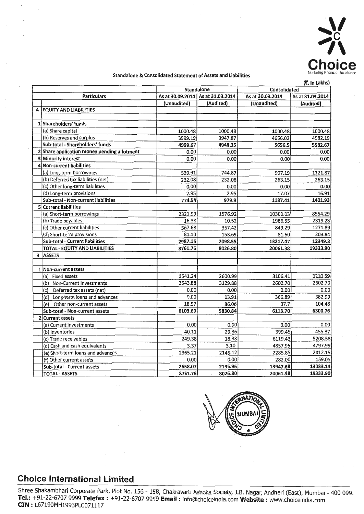

### Standalone & Consolidated Statement of Assets and Liabilities

|   | (х. іл сакпу)                               |             |                                     |                  |                  |  |  |  |  |
|---|---------------------------------------------|-------------|-------------------------------------|------------------|------------------|--|--|--|--|
|   |                                             |             | <b>Standalone</b>                   | Consolidated     |                  |  |  |  |  |
|   | <b>Particulars</b>                          |             | As at 30.09.2014   As at 31.03.2014 | As at 30.09.2014 | As at 31.03.2014 |  |  |  |  |
|   |                                             | (Unaudited) | (Audited)                           | (Unaudited)      | (Audited)        |  |  |  |  |
|   | A EQUITY AND LIABILITIES                    |             |                                     |                  |                  |  |  |  |  |
|   |                                             |             |                                     |                  |                  |  |  |  |  |
|   | 1 Shareholders' funds                       |             |                                     |                  |                  |  |  |  |  |
|   | (a) Share capital                           | 1000.48     | 1000.48                             | 1000.48          | 1000.48          |  |  |  |  |
|   | (b) Reserves and surplus                    | 3999.19     | 3947.87                             | 4656.02          | 4582.19          |  |  |  |  |
|   | Sub-total - Shareholders' funds             | 4999.67     | 4948.35                             | 5656.5           | 5582.67          |  |  |  |  |
|   | 2 Share application money pending allotment | 0.00        | 0.00                                | 0.00             | 0.00             |  |  |  |  |
|   | 3 Minority interest                         | 0.00        | 0.00                                | 0.00             | 0.00             |  |  |  |  |
|   | 4 Non-current liabilities                   |             |                                     |                  |                  |  |  |  |  |
|   | (a) Long-term borrowings                    | 539.91      | 744.87                              | 907.19           | 1121.87          |  |  |  |  |
|   | (b) Deferred tax liabilities (net)          | 232.08      | 232.08                              | 263.15           | 263.15           |  |  |  |  |
|   | (c) Other long-term liabilities             | 0.00        | 0.00                                | 0.00             | 0.00             |  |  |  |  |
|   | (d) Long-term provisions                    | 2.95        | 2.95                                | 17.07            | 16.91            |  |  |  |  |
|   | Sub-total - Non-current liabilities         | 774.94      | 979.9                               | 1187.41          | 1401.93          |  |  |  |  |
|   | 5 Current liabilities                       |             |                                     |                  |                  |  |  |  |  |
|   | (a) Short-term borrowings                   | 2321.99     | 1576.92                             | 10300.03         | 8554.29          |  |  |  |  |
|   | (b) Trade payables                          | 16.38       | 10.52                               | 1986.55          | 2319.28          |  |  |  |  |
|   | (c) Other current liabilities               | 567.68      | 357.42                              | 849.29           | 1271.89          |  |  |  |  |
|   | (d) Short-term provisions                   | 81.10       | 153.69                              | 81.60            | 203.84           |  |  |  |  |
|   | Sub-total - Current liabilities             | 2987.15     | 2098.55                             | 13217.47         | 12349.3          |  |  |  |  |
|   | TOTAL - EQUITY AND LIABILITIES              | 8761.76     | 8026.80                             | 20061.38         | 19333.90         |  |  |  |  |
| B | <b>ASSETS</b>                               |             |                                     |                  |                  |  |  |  |  |
|   |                                             |             |                                     |                  |                  |  |  |  |  |
|   | 1 Non-current assets                        |             |                                     |                  |                  |  |  |  |  |
|   | (a) Fixed assets                            | 2541.24     | 2600.99                             | 3106.41          | 3210.59          |  |  |  |  |
|   | (b) Non-Current Investments                 | 3543.88     | 3129.88                             | 2602.70          | 2602.70          |  |  |  |  |
|   | (c) Deferred tax assets (net)               | 0.00        | 0.00                                | 0.00             | 0.00             |  |  |  |  |
|   | (d) Long-term loans and advances            | 0.00        | 13.91                               | 366.89           | 382.99           |  |  |  |  |
|   | Other non-current assets<br>(e)             | 18.57       | 86.06                               | 37.7             | 104.48           |  |  |  |  |
|   | Sub-total - Non-current assets              | 6103.69     | 5830.84                             | 6113.70          | 6300.76          |  |  |  |  |
|   | 2 Current assets                            |             |                                     |                  |                  |  |  |  |  |
|   | (a) Current investments                     | 0.00        | 0.00                                | 3.00             | 0.00             |  |  |  |  |
|   | (b) Inventories                             | 40.11       | 29.36                               | 399.45           | 455.37           |  |  |  |  |
|   | (c) Trade receivables                       | 249.38      | 18.38                               | 6119.43          | 5208.58          |  |  |  |  |
|   | (d) Cash and cash equivalents               | 3.37        | 3.10                                | 4857.95          | 4797.99          |  |  |  |  |
|   | (e) Short-term loans and advances           | 2365.21     | 2145.12                             | 2285.85          | 2412.15          |  |  |  |  |
|   | (f) Other current assets                    | 0.00        | 0.00                                | 282.00           | 159.05           |  |  |  |  |
|   | Sub-total - Current assets                  | 2658.07     | 2195.96                             | 13947.68         | 13033.14         |  |  |  |  |
|   | <b>TOTAL - ASSETS</b>                       | 8761.76     | 8026.80                             | 20061.38         | 19333.90         |  |  |  |  |



#### **Choice International limited**  I

Shree Shakambhari Corporate Park, Plot No. 156 - 158, Chakravarti Ashoka Society, J.B. Nagar, Andheri (East), Mumbai - 400 099. **Tel.:** +91-22-6707 9999 **Telefax** I: +91-22-6707 9959 **Email** : info@choiceindia.com **Website** : www.choiceindia.com **CIN** : L67190MH1993PLC071117 .